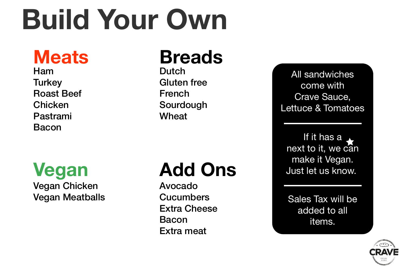# **Build Your Own**

# **Add Ons**

**Meats** Ham **Turkey** Roast Beef Chicken Pastrami Bacon

### **Breads** Dutch Gluten free French Sourdough Wheat

**Vegan** Vegan Chicken Vegan Meatballs



Avocado **Cucumbers** Extra Cheese Bacon Extra meat

All sandwiches come with Crave Sauce, Lettuce & Tomatoes

If it has a next to it, we can make it Vegan. Just let us know.

Sales Tax will be added to all items.

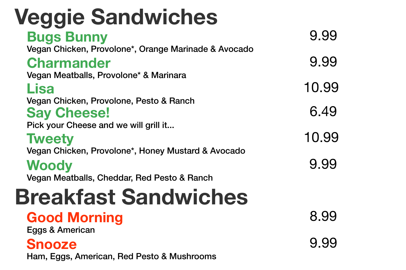## **Veggie Sandwiches Breakfast Sandwiches Bugs Bunny** Vegan Chicken, Provolone\*, Orange Marinade & Avocado **Charmander** Vegan Meatballs, Provolone\* & Marinara **Lisa** Vegan Chicken, Provolone, Pesto & Ranch **Say Cheese!** Pick your Cheese and we will grill it... **Tweety** Vegan Chicken, Provolone\*, Honey Mustard & Avocado **Woody** Vegan Meatballs, Cheddar, Red Pesto & Ranch

9.99 9.99 10.99 6.49 10.99 9.99

# **Good Morning** Eggs & American **Snooze** Ham, Eggs, American, Red Pesto & Mushrooms

- 
- 
- 
- 

8.99 9.99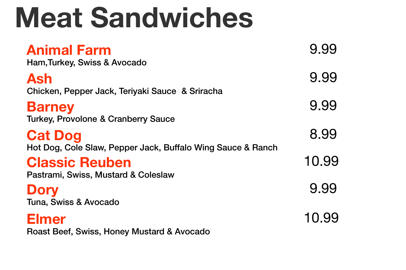# **Meat Sandwiches**

## **Animal Farm**

Ham,Turkey, Swiss & Avocado

# **Ash**

Chicken, Pepper Jack, Teriyaki Sauce & Sriracha

### **Barney**

Turkey, Provolone & Cranberry Sauce

# **Cat Dog**

Hot Dog, Cole Slaw, Pepper Jack, Buffalo Wing Sauce & Ranch

9.99 9.99 9.99 8.99 10.99 9.99 10.99

## **Classic Reuben**

Pastrami, Swiss, Mustard & Coleslaw

### **Dory**

Tuna, Swiss & Avocado

### **Elmer**

Roast Beef, Swiss, Honey Mustard & Avocado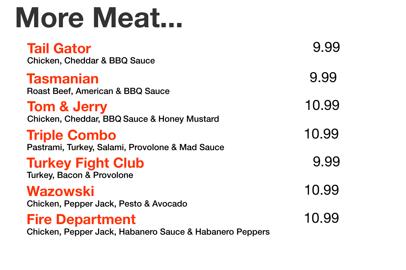## **Fire Department**

Chicken, Pepper Jack, Habanero Sauce & Habanero Peppers



- 
- 
- 
- 

**Tail Gator** Chicken, Cheddar & BBQ Sauce

## **Triple Combo**

Pastrami, Turkey, Salami, Provolone & Mad Sauce

## **Tasmanian**

Roast Beef, American & BBQ Sauce

10.99 9.99 10.99 9.99 10.99 9.99 10.99

**Tom & Jerry** Chicken, Cheddar, BBQ Sauce & Honey Mustard

### **Turkey Fight Club** Turkey, Bacon & Provolone

### **Wazowski**

Chicken, Pepper Jack, Pesto & Avocado

# **More Meat...**